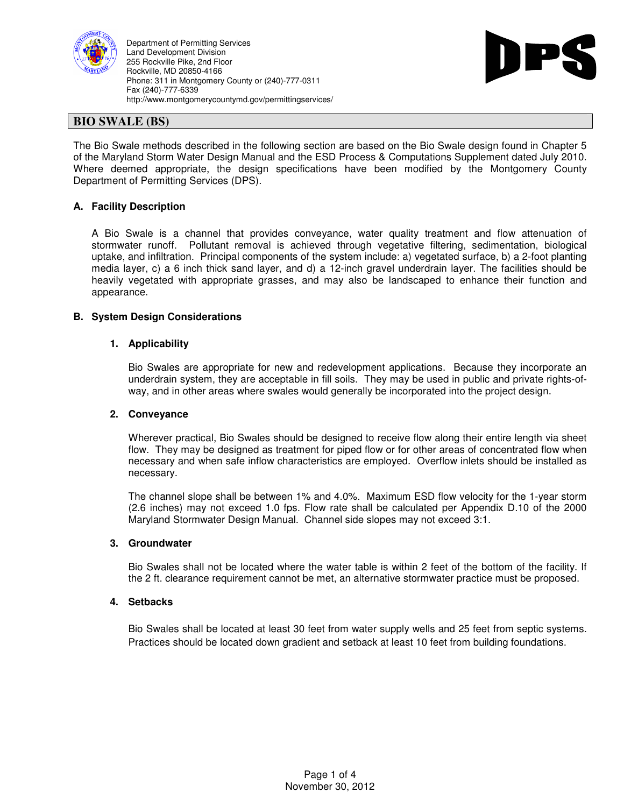

Department of Permitting Services Land Development Division 255 Rockville Pike, 2nd Floor Rockville, MD 20850-4166 Phone: 311 in Montgomery County or (240)-777-0311 Fax (240)-777-6339 http://www.montgomerycountymd.gov/permittingservices/



# **BIO SWALE (BS)**

The Bio Swale methods described in the following section are based on the Bio Swale design found in Chapter 5 of the Maryland Storm Water Design Manual and the ESD Process & Computations Supplement dated July 2010. Where deemed appropriate, the design specifications have been modified by the Montgomery County Department of Permitting Services (DPS).

# **A. Facility Description**

A Bio Swale is a channel that provides conveyance, water quality treatment and flow attenuation of stormwater runoff. Pollutant removal is achieved through vegetative filtering, sedimentation, biological uptake, and infiltration. Principal components of the system include: a) vegetated surface, b) a 2-foot planting media layer, c) a 6 inch thick sand layer, and d) a 12-inch gravel underdrain layer. The facilities should be heavily vegetated with appropriate grasses, and may also be landscaped to enhance their function and appearance.

## **B. System Design Considerations**

## **1. Applicability**

Bio Swales are appropriate for new and redevelopment applications. Because they incorporate an underdrain system, they are acceptable in fill soils. They may be used in public and private rights-ofway, and in other areas where swales would generally be incorporated into the project design.

#### **2. Conveyance**

Wherever practical, Bio Swales should be designed to receive flow along their entire length via sheet flow. They may be designed as treatment for piped flow or for other areas of concentrated flow when necessary and when safe inflow characteristics are employed. Overflow inlets should be installed as necessary.

The channel slope shall be between 1% and 4.0%. Maximum ESD flow velocity for the 1-year storm (2.6 inches) may not exceed 1.0 fps. Flow rate shall be calculated per Appendix D.10 of the 2000 Maryland Stormwater Design Manual. Channel side slopes may not exceed 3:1.

#### **3. Groundwater**

Bio Swales shall not be located where the water table is within 2 feet of the bottom of the facility. If the 2 ft. clearance requirement cannot be met, an alternative stormwater practice must be proposed.

## **4. Setbacks**

Bio Swales shall be located at least 30 feet from water supply wells and 25 feet from septic systems. Practices should be located down gradient and setback at least 10 feet from building foundations.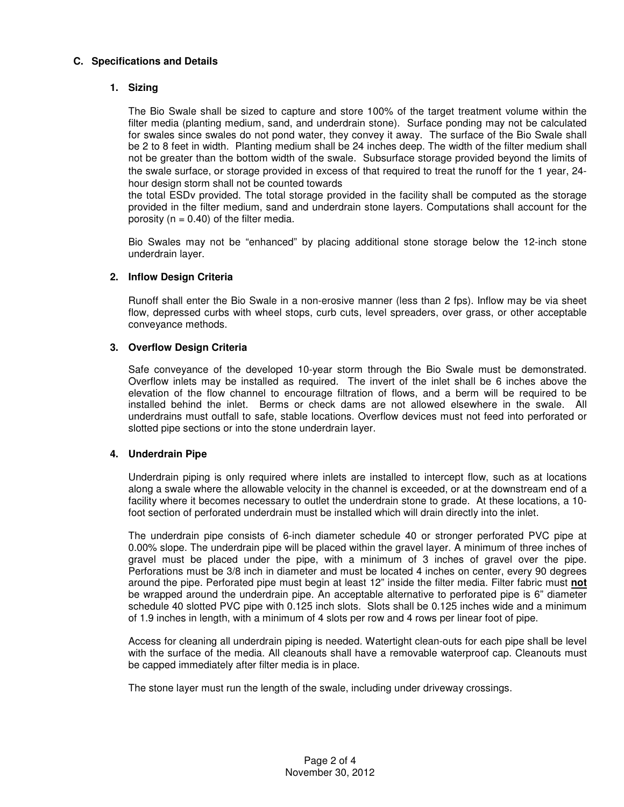## **C. Specifications and Details**

## **1. Sizing**

The Bio Swale shall be sized to capture and store 100% of the target treatment volume within the filter media (planting medium, sand, and underdrain stone). Surface ponding may not be calculated for swales since swales do not pond water, they convey it away. The surface of the Bio Swale shall be 2 to 8 feet in width. Planting medium shall be 24 inches deep. The width of the filter medium shall not be greater than the bottom width of the swale. Subsurface storage provided beyond the limits of the swale surface, or storage provided in excess of that required to treat the runoff for the 1 year, 24 hour design storm shall not be counted towards

the total ESDv provided. The total storage provided in the facility shall be computed as the storage provided in the filter medium, sand and underdrain stone layers. Computations shall account for the porosity ( $n = 0.40$ ) of the filter media.

Bio Swales may not be "enhanced" by placing additional stone storage below the 12-inch stone underdrain layer.

## **2. Inflow Design Criteria**

Runoff shall enter the Bio Swale in a non-erosive manner (less than 2 fps). Inflow may be via sheet flow, depressed curbs with wheel stops, curb cuts, level spreaders, over grass, or other acceptable conveyance methods.

## **3. Overflow Design Criteria**

Safe conveyance of the developed 10-year storm through the Bio Swale must be demonstrated. Overflow inlets may be installed as required. The invert of the inlet shall be 6 inches above the elevation of the flow channel to encourage filtration of flows, and a berm will be required to be installed behind the inlet. Berms or check dams are not allowed elsewhere in the swale. All underdrains must outfall to safe, stable locations. Overflow devices must not feed into perforated or slotted pipe sections or into the stone underdrain layer.

#### **4. Underdrain Pipe**

Underdrain piping is only required where inlets are installed to intercept flow, such as at locations along a swale where the allowable velocity in the channel is exceeded, or at the downstream end of a facility where it becomes necessary to outlet the underdrain stone to grade. At these locations, a 10 foot section of perforated underdrain must be installed which will drain directly into the inlet.

The underdrain pipe consists of 6-inch diameter schedule 40 or stronger perforated PVC pipe at 0.00% slope. The underdrain pipe will be placed within the gravel layer. A minimum of three inches of gravel must be placed under the pipe, with a minimum of 3 inches of gravel over the pipe. Perforations must be 3/8 inch in diameter and must be located 4 inches on center, every 90 degrees around the pipe. Perforated pipe must begin at least 12" inside the filter media. Filter fabric must **not** be wrapped around the underdrain pipe. An acceptable alternative to perforated pipe is 6" diameter schedule 40 slotted PVC pipe with 0.125 inch slots. Slots shall be 0.125 inches wide and a minimum of 1.9 inches in length, with a minimum of 4 slots per row and 4 rows per linear foot of pipe.

Access for cleaning all underdrain piping is needed. Watertight clean-outs for each pipe shall be level with the surface of the media. All cleanouts shall have a removable waterproof cap. Cleanouts must be capped immediately after filter media is in place.

The stone layer must run the length of the swale, including under driveway crossings.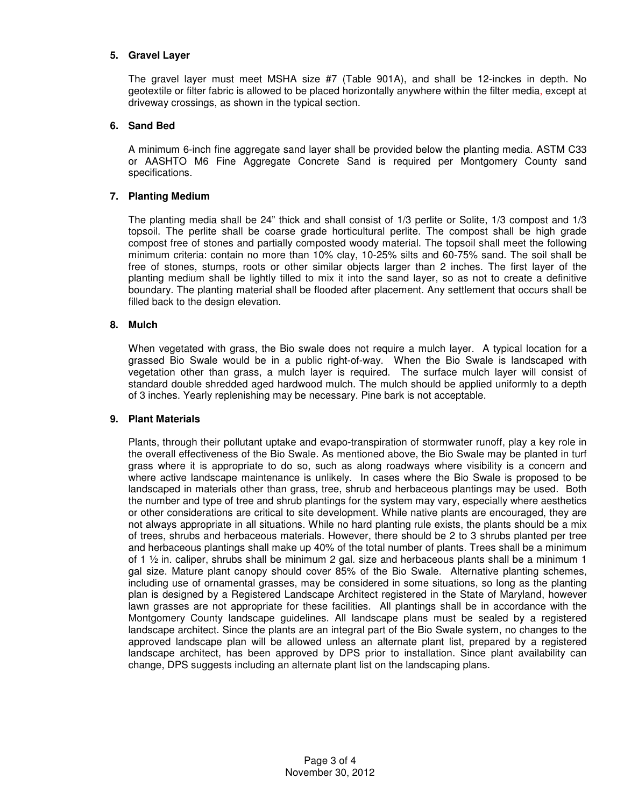## **5. Gravel Layer**

The gravel layer must meet MSHA size #7 (Table 901A), and shall be 12-inckes in depth. No geotextile or filter fabric is allowed to be placed horizontally anywhere within the filter media, except at driveway crossings, as shown in the typical section.

# **6. Sand Bed**

A minimum 6-inch fine aggregate sand layer shall be provided below the planting media. ASTM C33 or AASHTO M6 Fine Aggregate Concrete Sand is required per Montgomery County sand specifications.

## **7. Planting Medium**

The planting media shall be 24" thick and shall consist of 1/3 perlite or Solite, 1/3 compost and 1/3 topsoil. The perlite shall be coarse grade horticultural perlite. The compost shall be high grade compost free of stones and partially composted woody material. The topsoil shall meet the following minimum criteria: contain no more than 10% clay, 10-25% silts and 60-75% sand. The soil shall be free of stones, stumps, roots or other similar objects larger than 2 inches. The first layer of the planting medium shall be lightly tilled to mix it into the sand layer, so as not to create a definitive boundary. The planting material shall be flooded after placement. Any settlement that occurs shall be filled back to the design elevation.

## **8. Mulch**

When vegetated with grass, the Bio swale does not require a mulch layer. A typical location for a grassed Bio Swale would be in a public right-of-way. When the Bio Swale is landscaped with vegetation other than grass, a mulch layer is required. The surface mulch layer will consist of standard double shredded aged hardwood mulch. The mulch should be applied uniformly to a depth of 3 inches. Yearly replenishing may be necessary. Pine bark is not acceptable.

#### **9. Plant Materials**

Plants, through their pollutant uptake and evapo-transpiration of stormwater runoff, play a key role in the overall effectiveness of the Bio Swale. As mentioned above, the Bio Swale may be planted in turf grass where it is appropriate to do so, such as along roadways where visibility is a concern and where active landscape maintenance is unlikely. In cases where the Bio Swale is proposed to be landscaped in materials other than grass, tree, shrub and herbaceous plantings may be used. Both the number and type of tree and shrub plantings for the system may vary, especially where aesthetics or other considerations are critical to site development. While native plants are encouraged, they are not always appropriate in all situations. While no hard planting rule exists, the plants should be a mix of trees, shrubs and herbaceous materials. However, there should be 2 to 3 shrubs planted per tree and herbaceous plantings shall make up 40% of the total number of plants. Trees shall be a minimum of 1 ½ in. caliper, shrubs shall be minimum 2 gal. size and herbaceous plants shall be a minimum 1 gal size. Mature plant canopy should cover 85% of the Bio Swale. Alternative planting schemes, including use of ornamental grasses, may be considered in some situations, so long as the planting plan is designed by a Registered Landscape Architect registered in the State of Maryland, however lawn grasses are not appropriate for these facilities. All plantings shall be in accordance with the Montgomery County landscape guidelines. All landscape plans must be sealed by a registered landscape architect. Since the plants are an integral part of the Bio Swale system, no changes to the approved landscape plan will be allowed unless an alternate plant list, prepared by a registered landscape architect, has been approved by DPS prior to installation. Since plant availability can change, DPS suggests including an alternate plant list on the landscaping plans.